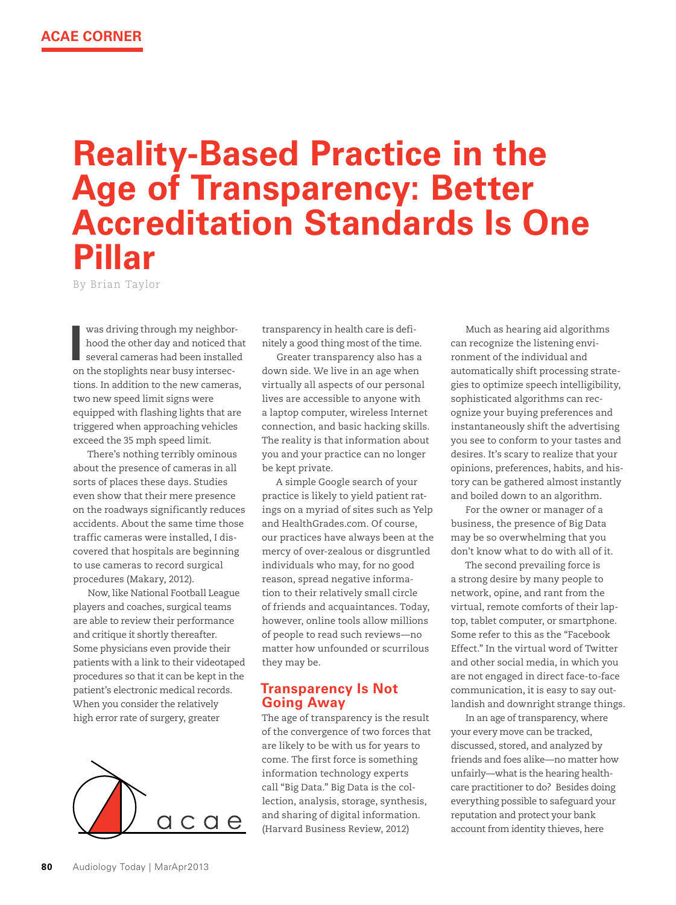# **Reality-Based Practice in the Age of Transparency: Better Accreditation Standards Is One Pillar**

By Brian Taylor

was driving through my neighborhood the other day and noticed that several cameras had been installed on the stoplights near busy intersections. In addition to the new cameras, two new speed limit signs were equipped with flashing lights that are triggered when approaching vehicles exceed the 35 mph speed limit.

There's nothing terribly ominous about the presence of cameras in all sorts of places these days. Studies even show that their mere presence on the roadways significantly reduces accidents. About the same time those traffic cameras were installed, I discovered that hospitals are beginning to use cameras to record surgical procedures (Makary, 2012).

Now, like National Football League players and coaches, surgical teams are able to review their performance and critique it shortly thereafter. Some physicians even provide their patients with a link to their videotaped procedures so that it can be kept in the patient's electronic medical records. When you consider the relatively high error rate of surgery, greater



transparency in health care is definitely a good thing most of the time.

Greater transparency also has a down side. We live in an age when virtually all aspects of our personal lives are accessible to anyone with a laptop computer, wireless Internet connection, and basic hacking skills. The reality is that information about you and your practice can no longer be kept private.

A simple Google search of your practice is likely to yield patient ratings on a myriad of sites such as Yelp and HealthGrades.com. Of course, our practices have always been at the mercy of over-zealous or disgruntled individuals who may, for no good reason, spread negative information to their relatively small circle of friends and acquaintances. Today, however, online tools allow millions of people to read such reviews—no matter how unfounded or scurrilous they may be.

## **Transparency Is Not Going Away**

The age of transparency is the result of the convergence of two forces that are likely to be with us for years to come. The first force is something information technology experts call "Big Data." Big Data is the collection, analysis, storage, synthesis, and sharing of digital information. (Harvard Business Review, 2012)

Much as hearing aid algorithms can recognize the listening environment of the individual and automatically shift processing strategies to optimize speech intelligibility, sophisticated algorithms can recognize your buying preferences and instantaneously shift the advertising you see to conform to your tastes and desires. It's scary to realize that your opinions, preferences, habits, and history can be gathered almost instantly and boiled down to an algorithm.

For the owner or manager of a business, the presence of Big Data may be so overwhelming that you don't know what to do with all of it.

The second prevailing force is a strong desire by many people to network, opine, and rant from the virtual, remote comforts of their laptop, tablet computer, or smartphone. Some refer to this as the "Facebook Effect." In the virtual word of Twitter and other social media, in which you are not engaged in direct face-to-face communication, it is easy to say outlandish and downright strange things.

In an age of transparency, where your every move can be tracked, discussed, stored, and analyzed by friends and foes alike—no matter how unfairly—what is the hearing healthcare practitioner to do? Besides doing everything possible to safeguard your reputation and protect your bank account from identity thieves, here